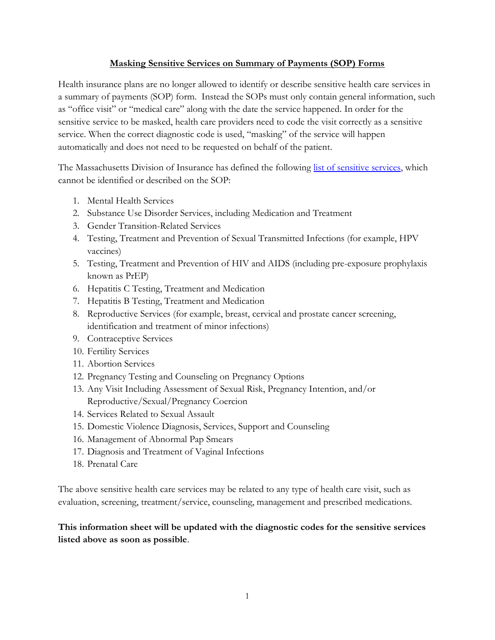## **Masking Sensitive Services on Summary of Payments (SOP) Forms**

Health insurance plans are no longer allowed to identify or describe sensitive health care services in a summary of payments (SOP) form. Instead the SOPs must only contain general information, such as "office visit" or "medical care" along with the date the service happened. In order for the sensitive service to be masked, health care providers need to code the visit correctly as a sensitive service. When the correct diagnostic code is used, "masking" of the service will happen automatically and does not need to be requested on behalf of the patient.

The Massachusetts Division of Insurance has defined the following [list of sensitive services,](https://www.mass.gov/files/documents/2017/12/19/BULLETIN%202017-07%20%28Health%20Care%20Services%29%20%28002%29_0.pdf) which cannot be identified or described on the SOP:

- 1. Mental Health Services
- 2. Substance Use Disorder Services, including Medication and Treatment
- 3. Gender Transition-Related Services
- 4. Testing, Treatment and Prevention of Sexual Transmitted Infections (for example, HPV vaccines)
- 5. Testing, Treatment and Prevention of HIV and AIDS (including pre-exposure prophylaxis known as PrEP)
- 6. Hepatitis C Testing, Treatment and Medication
- 7. Hepatitis B Testing, Treatment and Medication
- 8. Reproductive Services (for example, breast, cervical and prostate cancer screening, identification and treatment of minor infections)
- 9. Contraceptive Services
- 10. Fertility Services
- 11. Abortion Services
- 12. Pregnancy Testing and Counseling on Pregnancy Options
- 13. Any Visit Including Assessment of Sexual Risk, Pregnancy Intention, and/or Reproductive/Sexual/Pregnancy Coercion
- 14. Services Related to Sexual Assault
- 15. Domestic Violence Diagnosis, Services, Support and Counseling
- 16. Management of Abnormal Pap Smears
- 17. Diagnosis and Treatment of Vaginal Infections
- 18. Prenatal Care

The above sensitive health care services may be related to any type of health care visit, such as evaluation, screening, treatment/service, counseling, management and prescribed medications.

## **This information sheet will be updated with the diagnostic codes for the sensitive services listed above as soon as possible**.